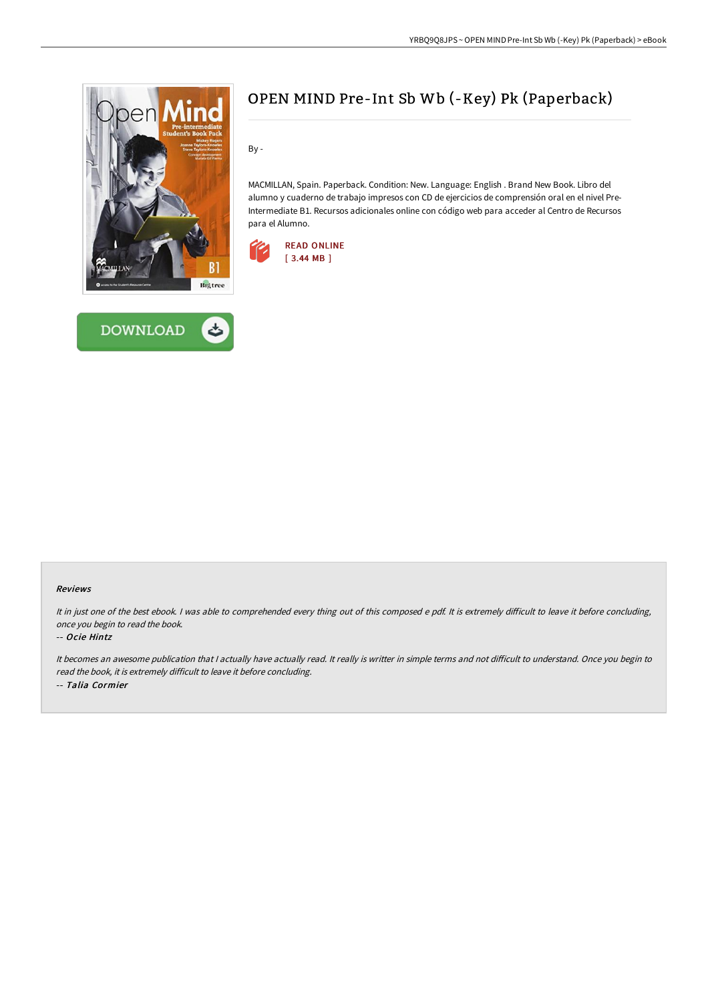



# OPEN MIND Pre-Int Sb Wb (-Key) Pk (Paperback)

By -

MACMILLAN, Spain. Paperback. Condition: New. Language: English . Brand New Book. Libro del alumno y cuaderno de trabajo impresos con CD de ejercicios de comprensión oral en el nivel Pre-Intermediate B1. Recursos adicionales online con código web para acceder al Centro de Recursos para el Alumno.



#### Reviews

It in just one of the best ebook. I was able to comprehended every thing out of this composed e pdf. It is extremely difficult to leave it before concluding, once you begin to read the book.

#### -- Ocie Hintz

It becomes an awesome publication that I actually have actually read. It really is writter in simple terms and not difficult to understand. Once you begin to read the book, it is extremely difficult to leave it before concluding. -- Talia Cormier